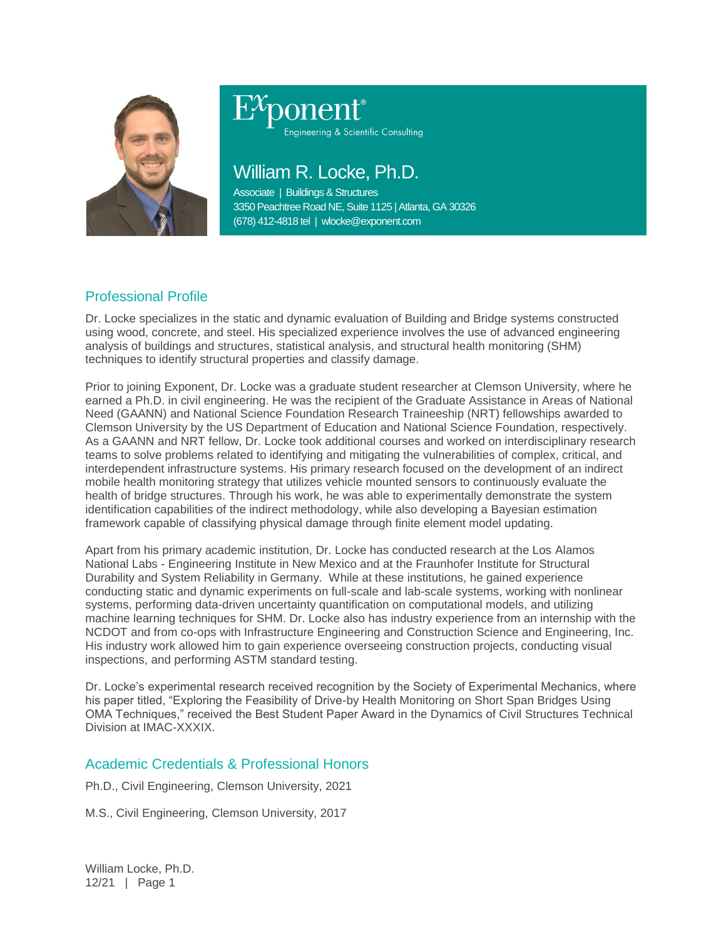

# Engineering & Scientific Consulting

William R. Locke, Ph.D.

Associate | Buildings & Structures 3350 Peachtree Road NE, Suite 1125 | Atlanta, GA 30326 (678) 412-4818 tel | wlocke@exponent.com

## Professional Profile

Dr. Locke specializes in the static and dynamic evaluation of Building and Bridge systems constructed using wood, concrete, and steel. His specialized experience involves the use of advanced engineering analysis of buildings and structures, statistical analysis, and structural health monitoring (SHM) techniques to identify structural properties and classify damage.

Prior to joining Exponent, Dr. Locke was a graduate student researcher at Clemson University, where he earned a Ph.D. in civil engineering. He was the recipient of the Graduate Assistance in Areas of National Need (GAANN) and National Science Foundation Research Traineeship (NRT) fellowships awarded to Clemson University by the US Department of Education and National Science Foundation, respectively. As a GAANN and NRT fellow, Dr. Locke took additional courses and worked on interdisciplinary research teams to solve problems related to identifying and mitigating the vulnerabilities of complex, critical, and interdependent infrastructure systems. His primary research focused on the development of an indirect mobile health monitoring strategy that utilizes vehicle mounted sensors to continuously evaluate the health of bridge structures. Through his work, he was able to experimentally demonstrate the system identification capabilities of the indirect methodology, while also developing a Bayesian estimation framework capable of classifying physical damage through finite element model updating.

Apart from his primary academic institution, Dr. Locke has conducted research at the Los Alamos National Labs - Engineering Institute in New Mexico and at the Fraunhofer Institute for Structural Durability and System Reliability in Germany. While at these institutions, he gained experience conducting static and dynamic experiments on full-scale and lab-scale systems, working with nonlinear systems, performing data-driven uncertainty quantification on computational models, and utilizing machine learning techniques for SHM. Dr. Locke also has industry experience from an internship with the NCDOT and from co-ops with Infrastructure Engineering and Construction Science and Engineering, Inc. His industry work allowed him to gain experience overseeing construction projects, conducting visual inspections, and performing ASTM standard testing.

Dr. Locke's experimental research received recognition by the Society of Experimental Mechanics, where his paper titled, "Exploring the Feasibility of Drive-by Health Monitoring on Short Span Bridges Using OMA Techniques," received the Best Student Paper Award in the Dynamics of Civil Structures Technical Division at IMAC-XXXIX.

### Academic Credentials & Professional Honors

Ph.D., Civil Engineering, Clemson University, 2021

M.S., Civil Engineering, Clemson University, 2017

William Locke, Ph.D. 12/21 | Page 1